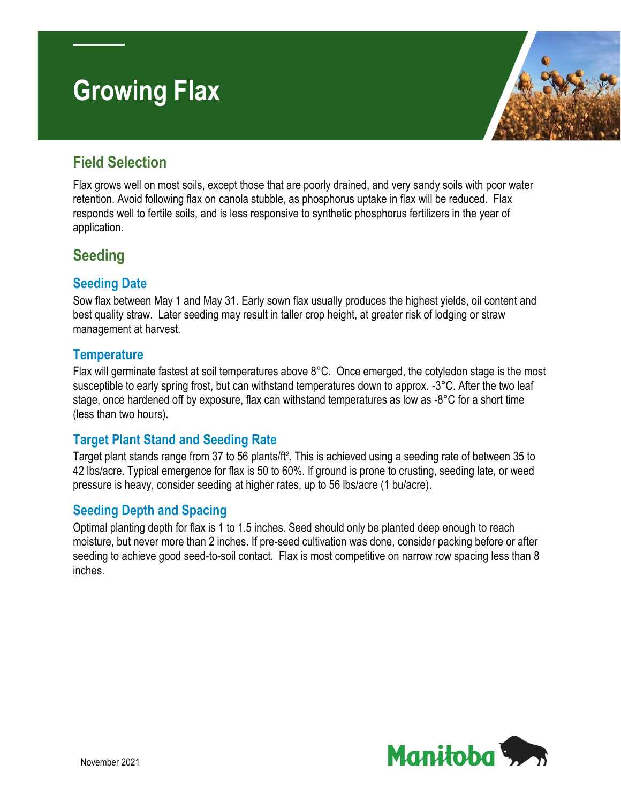# **Growing Flax**



## **Field Selection**

Flax grows well on most soils, except those that are poorly drained, and very sandy soils with poor water retention. Avoid following flax on canola stubble, as phosphorus uptake in flax will be reduced. Flax responds well to fertile soils, and is less responsive to synthetic phosphorus fertilizers in the year of application.

# **Seeding**

#### **Seeding Date**

Sow flax between May 1 and May 31. Early sown flax usually produces the highest yields, oil content and best quality straw. Later seeding may result in taller crop height, at greater risk of lodging or straw management at harvest.

#### **Temperature**

Flax will germinate fastest at soil temperatures above 8°C. Once emerged, the cotyledon stage is the most susceptible to early spring frost, but can withstand temperatures down to approx. -3°C. After the two leaf stage, once hardened off by exposure, flax can withstand temperatures as low as -8°C for a short time (less than two hours).

## **Target Plant Stand and Seeding Rate**

Target plant stands range from 37 to 56 plants/ft². This is achieved using a seeding rate of between 35 to 42 lbs/acre. Typical emergence for flax is 50 to 60%. If ground is prone to crusting, seeding late, or weed pressure is heavy, consider seeding at higher rates, up to 56 lbs/acre (1 bu/acre).

## **Seeding Depth and Spacing**

Optimal planting depth for flax is 1 to 1.5 inches. Seed should only be planted deep enough to reach moisture, but never more than 2 inches. If pre-seed cultivation was done, consider packing before or after seeding to achieve good seed-to-soil contact. Flax is most competitive on narrow row spacing less than 8 inches.

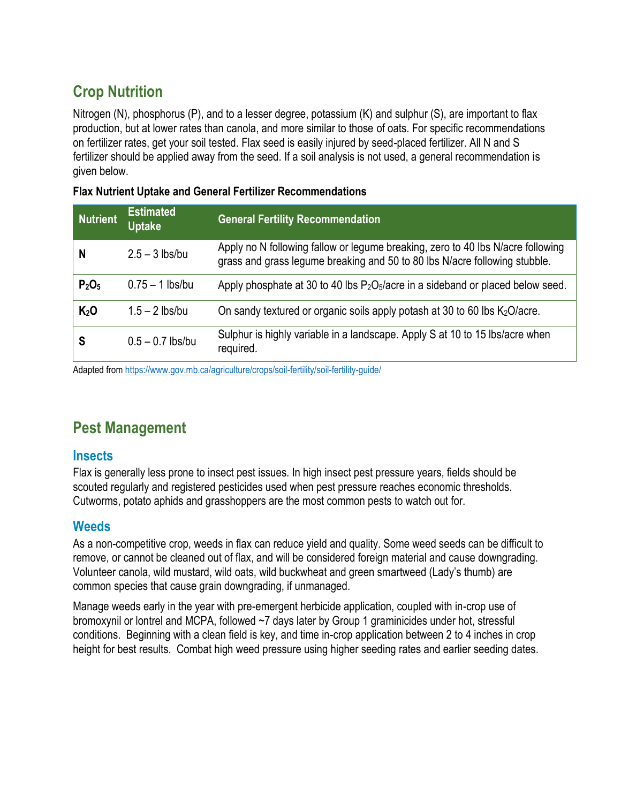# **Crop Nutrition**

Nitrogen (N), phosphorus (P), and to a lesser degree, potassium (K) and sulphur (S), are important to flax production, but at lower rates than canola, and more similar to those of oats. For specific recommendations on fertilizer rates, get your soil tested. Flax seed is easily injured by seed-placed fertilizer. All N and S fertilizer should be applied away from the seed. If a soil analysis is not used, a general recommendation is given below.

#### **Flax Nutrient Uptake and General Fertilizer Recommendations**

| <b>Nutrient</b>               | <b>Estimated</b><br><b>Uptake</b> | <b>General Fertility Recommendation</b>                                                                                                                       |
|-------------------------------|-----------------------------------|---------------------------------------------------------------------------------------------------------------------------------------------------------------|
| N                             | $2.5 - 3$ lbs/bu                  | Apply no N following fallow or legume breaking, zero to 40 lbs N/acre following<br>grass and grass legume breaking and 50 to 80 lbs N/acre following stubble. |
| P <sub>2</sub> O <sub>5</sub> | $0.75 - 1$ lbs/bu                 | Apply phosphate at 30 to 40 lbs $P_2O_5/ace$ in a sideband or placed below seed.                                                                              |
| K <sub>2</sub> O              | $1.5 - 2$ lbs/bu                  | On sandy textured or organic soils apply potash at 30 to 60 lbs $K_2O$ /acre.                                                                                 |
| S                             | $0.5 - 0.7$ lbs/bu                | Sulphur is highly variable in a landscape. Apply S at 10 to 15 lbs/acre when<br>required.                                                                     |

Adapted fro[m https://www.gov.mb.ca/agriculture/crops/soil-fertility/soil-fertility-guide/](https://www.gov.mb.ca/agriculture/crops/soil-fertility/soil-fertility-guide/)

# **Pest Management**

#### **Insects**

Flax is generally less prone to insect pest issues. In high insect pest pressure years, fields should be scouted regularly and registered pesticides used when pest pressure reaches economic thresholds. Cutworms, potato aphids and grasshoppers are the most common pests to watch out for.

#### **Weeds**

As a non-competitive crop, weeds in flax can reduce yield and quality. Some weed seeds can be difficult to remove, or cannot be cleaned out of flax, and will be considered foreign material and cause downgrading. Volunteer canola, wild mustard, wild oats, wild buckwheat and green smartweed (Lady's thumb) are common species that cause grain downgrading, if unmanaged.

Manage weeds early in the year with pre-emergent herbicide application, coupled with in-crop use of bromoxynil or lontrel and MCPA, followed ~7 days later by Group 1 graminicides under hot, stressful conditions. Beginning with a clean field is key, and time in-crop application between 2 to 4 inches in crop height for best results. Combat high weed pressure using higher seeding rates and earlier seeding dates.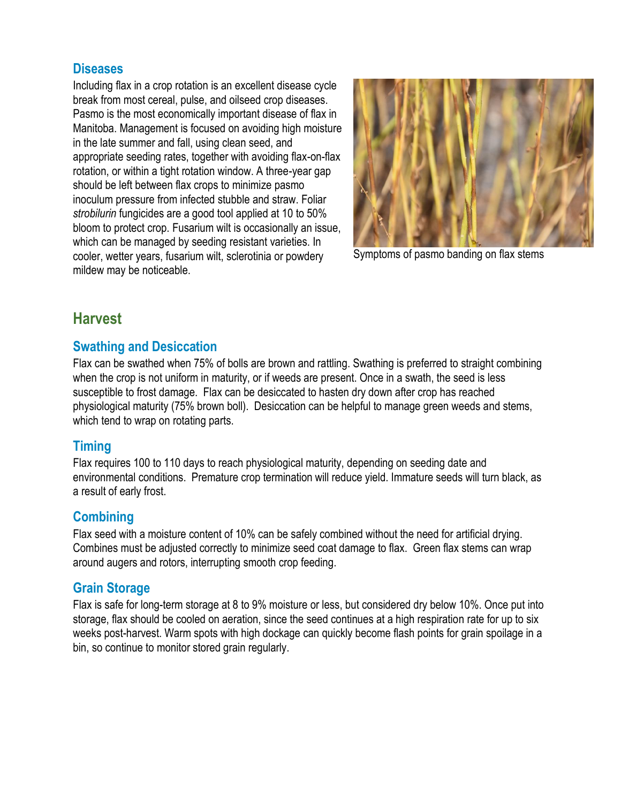#### **Diseases**

Including flax in a crop rotation is an excellent disease cycle break from most cereal, pulse, and oilseed crop diseases. Pasmo is the most economically important disease of flax in Manitoba. Management is focused on avoiding high moisture in the late summer and fall, using clean seed, and appropriate seeding rates, together with avoiding flax-on-flax rotation, or within a tight rotation window. A three-year gap should be left between flax crops to minimize pasmo inoculum pressure from infected stubble and straw. Foliar *strobilurin* fungicides are a good tool applied at 10 to 50% bloom to protect crop. Fusarium wilt is occasionally an issue, which can be managed by seeding resistant varieties. In cooler, wetter years, fusarium wilt, sclerotinia or powdery mildew may be noticeable.



Symptoms of pasmo banding on flax stems

## **Harvest**

#### **Swathing and Desiccation**

Flax can be swathed when 75% of bolls are brown and rattling. Swathing is preferred to straight combining when the crop is not uniform in maturity, or if weeds are present. Once in a swath, the seed is less susceptible to frost damage. Flax can be desiccated to hasten dry down after crop has reached physiological maturity (75% brown boll). Desiccation can be helpful to manage green weeds and stems, which tend to wrap on rotating parts.

#### **Timing**

Flax requires 100 to 110 days to reach physiological maturity, depending on seeding date and environmental conditions. Premature crop termination will reduce yield. Immature seeds will turn black, as a result of early frost.

#### **Combining**

Flax seed with a moisture content of 10% can be safely combined without the need for artificial drying. Combines must be adjusted correctly to minimize seed coat damage to flax. Green flax stems can wrap around augers and rotors, interrupting smooth crop feeding.

## **Grain Storage**

Flax is safe for long-term storage at 8 to 9% moisture or less, but considered dry below 10%. Once put into storage, flax should be cooled on aeration, since the seed continues at a high respiration rate for up to six weeks post-harvest. Warm spots with high dockage can quickly become flash points for grain spoilage in a bin, so continue to monitor stored grain regularly.